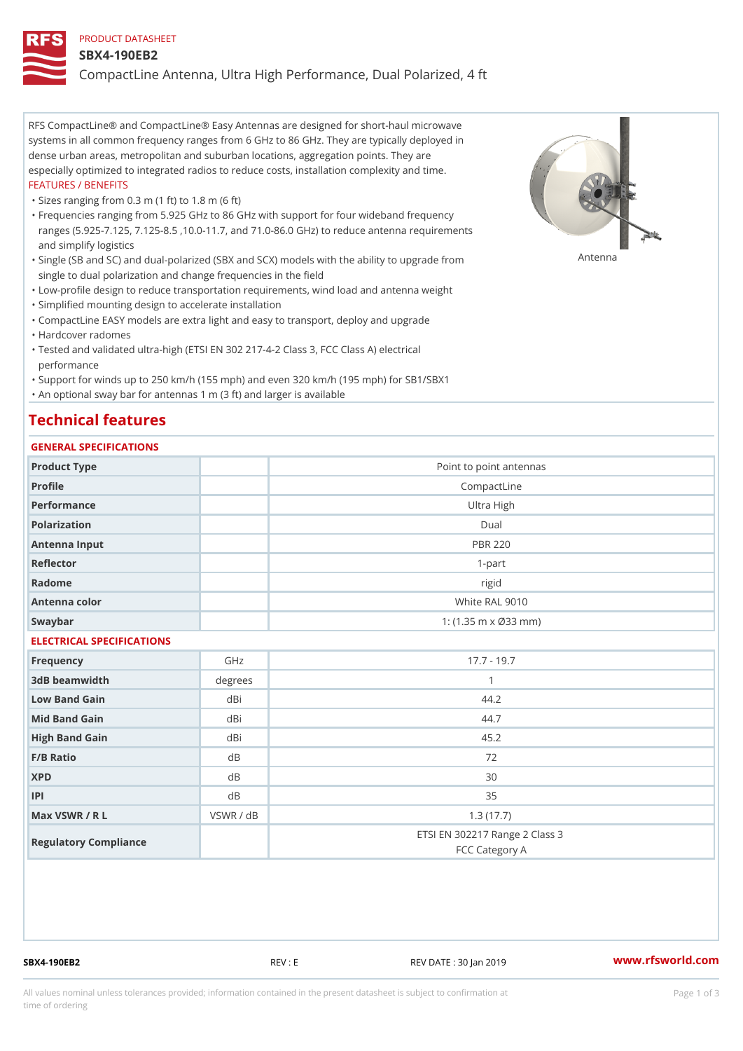#### PRODUCT DATASHEET

#### SBX4-190EB2

CompactLine Antenna, Ultra High Performance, Dual Polarized, 4 ft

RFS CompactLine® and CompactLine® Easy Antennas are designed for short-haul microwave systems in all common frequency ranges from 6 GHz to 86 GHz. They are typically deployed in dense urban areas, metropolitan and suburban locations, aggregation points. They are especially optimized to integrated radios to reduce costs, installation complexity and time. FEATURES / BENEFITS

"Sizes ranging from 0.3 m (1 ft) to 1.8 m (6 ft)

Frequencies ranging from 5.925 GHz to 86 GHz with support for four wideband frequency " ranges (5.925-7.125, 7.125-8.5 ,10.0-11.7, and 71.0-86.0 GHz) to reduce antenna requirements and simplify logistics

"Single (SB and SC) and dual-polarized (SBX and SCX) models with the abili $\mathsf{f}_\mathsf{V}^{\eta}$ ttenup $\beta$ grade from single to dual polarization and change frequencies in the field

"Low-profile design to reduce transportation requirements, wind load and antenna weight

"Simplified mounting design to accelerate installation

 "CompactLine EASY models are extra light and easy to transport, deploy and upgrade "Hardcover radomes

Tested and validated ultra-high (ETSI EN 302 217-4-2 Class 3, FCC Class A) electrical " performance

 "Support for winds up to 250 km/h (155 mph) and even 320 km/h (195 mph) for SB1/SBX1 "An optional sway bar for antennas 1 m (3 ft) and larger is available

### Technical features

### GENERAL SPECIFICATIONS

| OLIVERAL OF LOTITOATIONS  |                         |                                                  |  |  |
|---------------------------|-------------------------|--------------------------------------------------|--|--|
| Product Type              | Point to point antennas |                                                  |  |  |
| Profile                   | CompactLine             |                                                  |  |  |
| Performance               | Ultra High              |                                                  |  |  |
| Polarization              | Dual                    |                                                  |  |  |
| Antenna Input             | <b>PBR 220</b>          |                                                  |  |  |
| Reflector                 | $1 - p$ art             |                                                  |  |  |
| Radome                    | rigid                   |                                                  |  |  |
| Antenna color             |                         | White RAL 9010                                   |  |  |
| Swaybar                   |                         | 1: $(1.35 m \times 033 m)$                       |  |  |
| ELECTRICAL SPECIFICATIONS |                         |                                                  |  |  |
| Frequency                 | GHz                     | $17.7 - 19.7$                                    |  |  |
| 3dB beamwidth             | degrees                 | $\mathbf{1}$                                     |  |  |
| Low Band Gain             | dBi                     | 44.2                                             |  |  |
| Mid Band Gain             | dBi                     | 44.7                                             |  |  |
| High Band Gain            | d B i                   | 45.2                                             |  |  |
| F/B Ratio                 | $d$ B                   | 72                                               |  |  |
| <b>XPD</b>                | d <sub>B</sub>          | 30                                               |  |  |
| P                         | d B                     | 35                                               |  |  |
| Max VSWR / R L            | VSWR / dB               | 1.3(17.7)                                        |  |  |
| Regulatory Compliance     |                         | ETSI EN 302217 Range 2 Class 3<br>FCC Category A |  |  |

SBX4-190EB2 REV : E REV DATE : 30 Jan 2019 [www.](https://www.rfsworld.com)rfsworld.com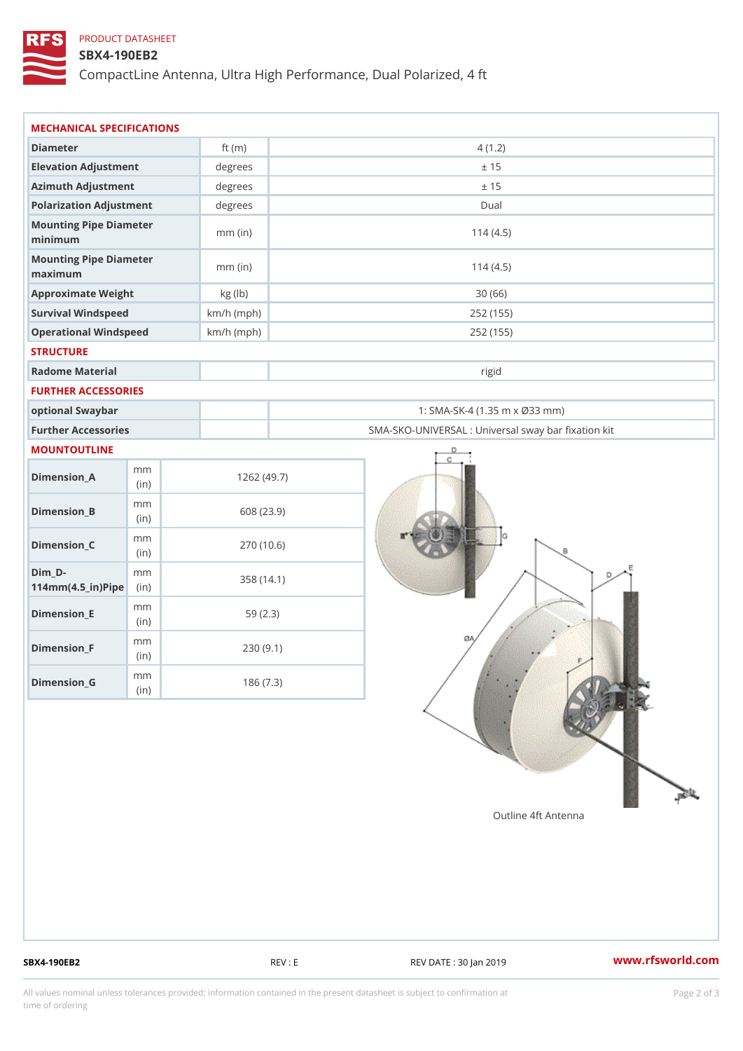## PRODUCT DATASHEET

## SBX4-190EB2

CompactLine Antenna, Ultra High Performance, Dual Polarized, 4 ft

| MECHANICAL SPECIFICATIONS                           |              |              |                                                   |
|-----------------------------------------------------|--------------|--------------|---------------------------------------------------|
| Diameter                                            |              | ft $(m)$     | 4(1.2)                                            |
| Elevation Adjustment                                |              | degrees      | ± 15                                              |
| Azimuth Adjustment                                  |              | degrees      | ± 15                                              |
| Polarization Adjustment                             |              | degrees      | Dual                                              |
| Mounting Pipe Diameter<br>minimum                   |              | $mm$ (in)    | 114(4.5)                                          |
| Mounting Pipe Diameter<br>maximum                   |              | $mm$ (in)    | 114(4.5)                                          |
| Approximate Weight                                  |              | kg (lb)      | 30(66)                                            |
| Survival Windspeed                                  |              | $km/h$ (mph) | 252 (155)                                         |
| Operational Windspeed                               |              | $km/h$ (mph) | 252 (155)                                         |
| <b>STRUCTURE</b>                                    |              |              |                                                   |
| Radome Material                                     |              |              | rigid                                             |
| FURTHER ACCESSORIES                                 |              |              |                                                   |
| optional Swaybar                                    |              |              | 1: SMA-SK-4 (1.35 m x Ø33 mm)                     |
| Further Accessories                                 |              |              | SMA-SKO-UNIVERSAL : Universal sway bar fixation l |
| MOUNTOUTLINE                                        |              |              |                                                   |
| $Dimension_A$                                       | m m<br>(in)  |              | 1262(49.7)                                        |
| $Dimension_B$                                       | m m<br>(i n) |              | 608 (23.9)                                        |
| $Dimension_C$                                       | m m<br>(i n) |              | 270 (10.6)                                        |
| $Dim_D -$<br>$114$ m m $(4.5$ _ ir $)$ $R$ ii p $e$ | m m          |              | 358 (14.1)                                        |
| $Dimension$ = E                                     | m m<br>(in)  |              | 59(2.3)                                           |
| $Dimension_F$                                       | m m<br>(in)  |              | 230(9.1)                                          |
| $Dimenision_G$                                      | m m<br>(in)  |              | 186(7.3)                                          |

SBX4-190EB2 REV : E REV DATE : 30 Jan 2019 WWW.rfsworld.com